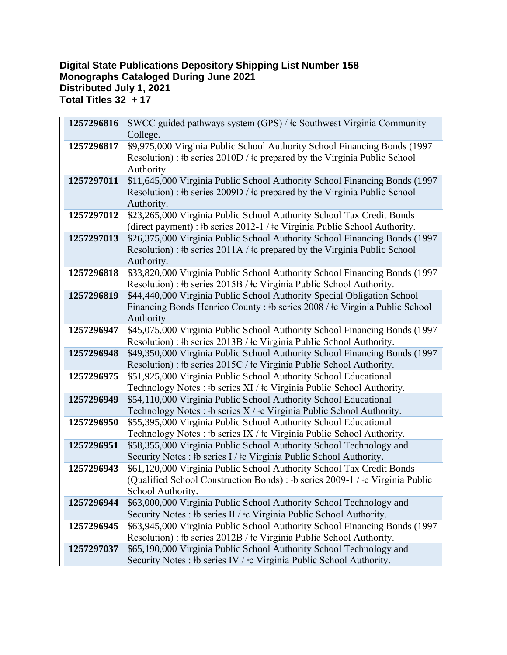## **Digital State Publications Depository Shipping List Number 158 Monographs Cataloged During June 2021 Distributed July 1, 2021 Total Titles 32 + 17**

| 1257296816 | SWCC guided pathways system (GPS) / ‡c Southwest Virginia Community                               |
|------------|---------------------------------------------------------------------------------------------------|
|            | College.                                                                                          |
| 1257296817 | \$9,975,000 Virginia Public School Authority School Financing Bonds (1997                         |
|            | Resolution) : $\frac{1}{2}$ b series 2010D / $\frac{1}{2}$ prepared by the Virginia Public School |
|            | Authority.                                                                                        |
| 1257297011 | \$11,645,000 Virginia Public School Authority School Financing Bonds (1997                        |
|            | Resolution) : #b series 2009D / $\pm$ c prepared by the Virginia Public School                    |
|            | Authority.                                                                                        |
| 1257297012 | \$23,265,000 Virginia Public School Authority School Tax Credit Bonds                             |
|            | (direct payment) : #b series 2012-1 / #c Virginia Public School Authority.                        |
| 1257297013 | \$26,375,000 Virginia Public School Authority School Financing Bonds (1997                        |
|            | Resolution) : #b series 2011A / $\pm$ c prepared by the Virginia Public School                    |
|            | Authority.                                                                                        |
| 1257296818 | \$33,820,000 Virginia Public School Authority School Financing Bonds (1997                        |
|            | Resolution) : #b series 2015B / #c Virginia Public School Authority.                              |
| 1257296819 | \$44,440,000 Virginia Public School Authority Special Obligation School                           |
|            | Financing Bonds Henrico County : #b series 2008 / #c Virginia Public School                       |
|            | Authority.                                                                                        |
| 1257296947 | \$45,075,000 Virginia Public School Authority School Financing Bonds (1997                        |
|            | Resolution) : #b series 2013B / #c Virginia Public School Authority.                              |
| 1257296948 | \$49,350,000 Virginia Public School Authority School Financing Bonds (1997                        |
|            | Resolution) : #b series 2015C / #c Virginia Public School Authority.                              |
| 1257296975 | \$51,925,000 Virginia Public School Authority School Educational                                  |
|            | Technology Notes : #b series XI / #c Virginia Public School Authority.                            |
| 1257296949 | \$54,110,000 Virginia Public School Authority School Educational                                  |
|            | Technology Notes : $\frac{1}{2}$ b series X / $\frac{1}{2}$ Virginia Public School Authority.     |
| 1257296950 | \$55,395,000 Virginia Public School Authority School Educational                                  |
|            | Technology Notes : $\frac{1}{2}$ b series IX / $\frac{1}{2}$ c Virginia Public School Authority.  |
| 1257296951 | \$58,355,000 Virginia Public School Authority School Technology and                               |
|            | Security Notes: #b series I / $\pm$ c Virginia Public School Authority.                           |
| 1257296943 | \$61,120,000 Virginia Public School Authority School Tax Credit Bonds                             |
|            | (Qualified School Construction Bonds) : #b series 2009-1 / #c Virginia Public                     |
|            | School Authority.                                                                                 |
| 1257296944 | \$63,000,000 Virginia Public School Authority School Technology and                               |
|            | Security Notes : $\frac{1}{2}$ b series II / $\frac{1}{2}$ Virginia Public School Authority.      |
| 1257296945 | \$63,945,000 Virginia Public School Authority School Financing Bonds (1997                        |
|            | Resolution) : #b series 2012B / #c Virginia Public School Authority.                              |
| 1257297037 | \$65,190,000 Virginia Public School Authority School Technology and                               |
|            | Security Notes : #b series IV / #c Virginia Public School Authority.                              |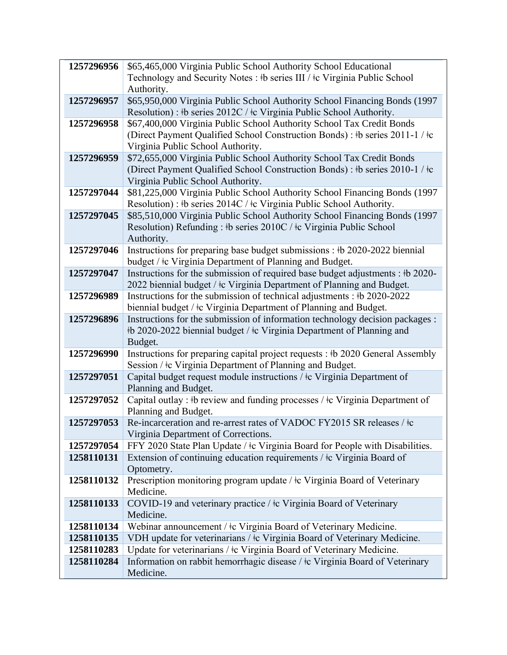| 1257296956 | \$65,465,000 Virginia Public School Authority School Educational                              |
|------------|-----------------------------------------------------------------------------------------------|
|            | Technology and Security Notes : #b series III / #c Virginia Public School                     |
|            | Authority.                                                                                    |
| 1257296957 | \$65,950,000 Virginia Public School Authority School Financing Bonds (1997                    |
|            | Resolution) : #b series 2012C / #c Virginia Public School Authority.                          |
| 1257296958 | \$67,400,000 Virginia Public School Authority School Tax Credit Bonds                         |
|            | (Direct Payment Qualified School Construction Bonds) : #b series 2011-1 / #c                  |
|            | Virginia Public School Authority.                                                             |
| 1257296959 | \$72,655,000 Virginia Public School Authority School Tax Credit Bonds                         |
|            | (Direct Payment Qualified School Construction Bonds) : #b series 2010-1 / #c                  |
|            | Virginia Public School Authority.                                                             |
| 1257297044 | \$81,225,000 Virginia Public School Authority School Financing Bonds (1997                    |
|            | Resolution) : #b series 2014C / #c Virginia Public School Authority.                          |
| 1257297045 | \$85,510,000 Virginia Public School Authority School Financing Bonds (1997                    |
|            | Resolution) Refunding : #b series 2010C / #c Virginia Public School<br>Authority.             |
| 1257297046 | Instructions for preparing base budget submissions : #b 2020-2022 biennial                    |
|            | budget / ‡c Virginia Department of Planning and Budget.                                       |
| 1257297047 | Instructions for the submission of required base budget adjustments : #b 2020-                |
|            | 2022 biennial budget / ‡c Virginia Department of Planning and Budget.                         |
| 1257296989 | Instructions for the submission of technical adjustments : #b 2020-2022                       |
|            | biennial budget / ‡c Virginia Department of Planning and Budget.                              |
| 1257296896 | Instructions for the submission of information technology decision packages :                 |
|            | #b 2020-2022 biennial budget / #c Virginia Department of Planning and                         |
|            | Budget.                                                                                       |
| 1257296990 | Instructions for preparing capital project requests : #b 2020 General Assembly                |
|            | Session / ‡c Virginia Department of Planning and Budget.                                      |
| 1257297051 | Capital budget request module instructions / ‡c Virginia Department of                        |
|            | Planning and Budget.                                                                          |
| 1257297052 | Capital outlay : #b review and funding processes / #c Virginia Department of                  |
| 1257297053 | Planning and Budget.<br>Re-incarceration and re-arrest rates of VADOC FY2015 SR releases / ‡c |
|            | Virginia Department of Corrections.                                                           |
| 1257297054 | FFY 2020 State Plan Update / ‡c Virginia Board for People with Disabilities.                  |
| 1258110131 | Extension of continuing education requirements / ‡c Virginia Board of                         |
|            | Optometry.                                                                                    |
| 1258110132 | Prescription monitoring program update / $\pm c$ Virginia Board of Veterinary                 |
|            | Medicine.                                                                                     |
| 1258110133 | COVID-19 and veterinary practice / ‡c Virginia Board of Veterinary                            |
|            | Medicine.                                                                                     |
| 1258110134 | Webinar announcement / ‡c Virginia Board of Veterinary Medicine.                              |
| 1258110135 | VDH update for veterinarians / ‡c Virginia Board of Veterinary Medicine.                      |
| 1258110283 | Update for veterinarians / $\pm$ Virginia Board of Veterinary Medicine.                       |
| 1258110284 | Information on rabbit hemorrhagic disease / $\pm c$ Virginia Board of Veterinary              |
|            | Medicine.                                                                                     |